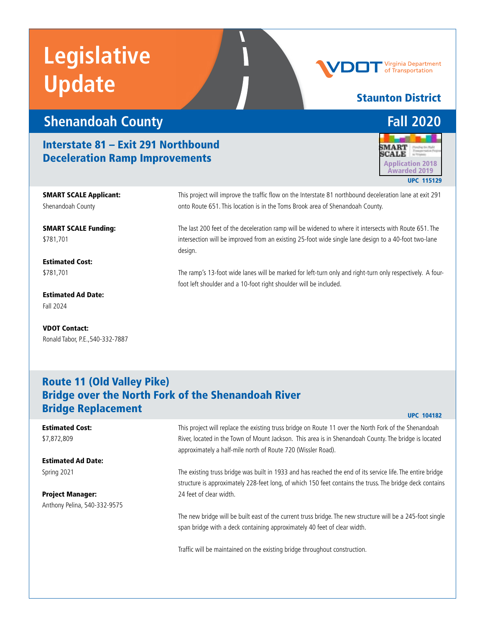# **Legislative Update**

# **Shenandoah County Fall 2020**

### Interstate 81 – Exit 291 Northbound **Deceleration Ramp Improvements Application 2018**



SMART SCALE Funding: \$781,701

Estimated Cost: \$781,701

Estimated Ad Date: Fall 2024

VDOT Contact: Ronald Tabor, P.E.,540-332-7887

#### This project will improve the traffic flow on the Interstate 81 northbound deceleration lane at exit 291 onto Route 651. This location is in the Toms Brook area of Shenandoah County.

The last 200 feet of the deceleration ramp will be widened to where it intersects with Route 651. The intersection will be improved from an existing 25-foot wide single lane design to a 40-foot two-lane design.

The ramp's 13-foot wide lanes will be marked for left-turn only and right-turn only respectively. A fourfoot left shoulder and a 10-foot right shoulder will be included.

### Route 11 (Old Valley Pike) Bridge over the North Fork of the Shenandoah River **Bridge Replacement** UPC 104182

#### This project will replace the existing truss bridge on Route 11 over the North Fork of the Shenandoah River, located in the Town of Mount Jackson. This area is in Shenandoah County. The bridge is located approximately a half-mile north of Route 720 (Wissler Road). The existing truss bridge was built in 1933 and has reached the end of its service life. The entire bridge structure is approximately 228-feet long, of which 150 feet contains the truss. The bridge deck contains 24 feet of clear width. The new bridge will be built east of the current truss bridge. The new structure will be a 245-foot single span bridge with a deck containing approximately 40 feet of clear width. Traffic will be maintained on the existing bridge throughout construction. Estimated Cost: \$7,872,809 Estimated Ad Date: Spring 2021 Project Manager: Anthony Pelina, 540-332-9575

#### Virginia Department of Transportation

#### Staunton District

# **MART** Awarded 2019 UPC 115129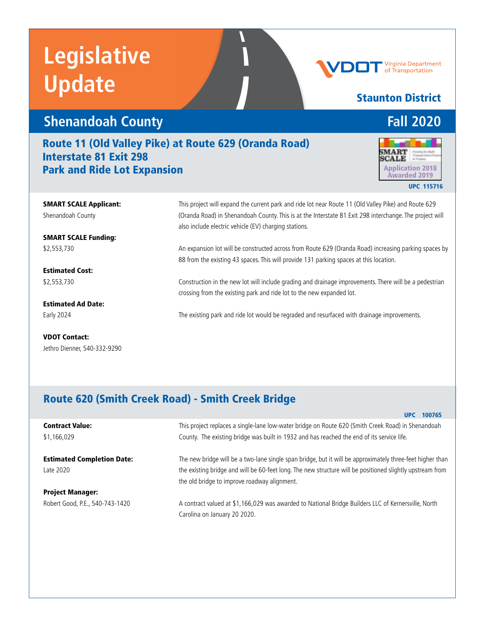# **Legislative Update**

### **Shenandoah County Fall 2020**

#### Route 11 (Old Valley Pike) at Route 629 (Oranda Road) Interstate 81 Exit 298 **Park and Ride Lot Expansion** Application 2018



UPC 115716

SMART SCALE Applicant: Shenandoah County

SMART SCALE Funding: \$2,553,730

Estimated Cost: \$2,553,730

Estimated Ad Date: Early 2024

VDOT Contact: Jethro Dienner, 540-332-9290

This project will expand the current park and ride lot near Route 11 (Old Valley Pike) and Route 629 (Oranda Road) in Shenandoah County. This is at the Interstate 81 Exit 298 interchange. The project will also include electric vehicle (EV) charging stations.

An expansion lot will be constructed across from Route 629 (Oranda Road) increasing parking spaces by 88 from the existing 43 spaces. This will provide 131 parking spaces at this location.

Construction in the new lot will include grading and drainage improvements. There will be a pedestrian crossing from the existing park and ride lot to the new expanded lot.

The existing park and ride lot would be regraded and resurfaced with drainage improvements.

### Route 620 (Smith Creek Road) - Smith Creek Bridge

|                                   | <b>UPC 100765</b>                                                                                         |
|-----------------------------------|-----------------------------------------------------------------------------------------------------------|
| <b>Contract Value:</b>            | This project replaces a single-lane low-water bridge on Route 620 (Smith Creek Road) in Shenandoah        |
| \$1,166,029                       | County. The existing bridge was built in 1932 and has reached the end of its service life.                |
|                                   |                                                                                                           |
| <b>Estimated Completion Date:</b> | The new bridge will be a two-lane single span bridge, but it will be approximately three-feet higher than |
| Late 2020                         | the existing bridge and will be 60-feet long. The new structure will be positioned slightly upstream from |
|                                   | the old bridge to improve roadway alignment.                                                              |
| <b>Project Manager:</b>           |                                                                                                           |
| Robert Good, P.E., 540-743-1420   | A contract valued at \$1,166,029 was awarded to National Bridge Builders LLC of Kernersville, North       |
|                                   | Carolina on January 20 2020.                                                                              |

### Staunton District

Virginia Department Transportation